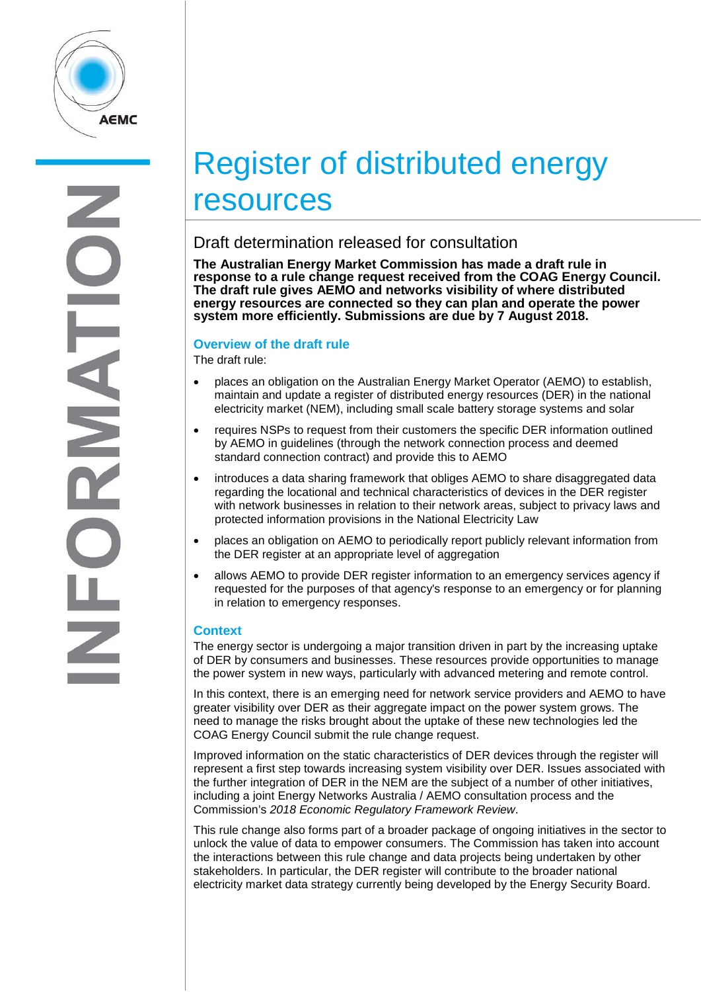

# Register of distributed energy resources

## Draft determination released for consultation

**The Australian Energy Market Commission has made a draft rule in**  response to a rule change request received from the COAG Energy Council. **The draft rule gives AEMO and networks visibility of where distributed energy resources are connected so they can plan and operate the power system more efficiently. Submissions are due by 7 August 2018.**

### **Overview of the draft rule**

The draft rule:

- places an obligation on the Australian Energy Market Operator (AEMO) to establish, maintain and update a register of distributed energy resources (DER) in the national electricity market (NEM), including small scale battery storage systems and solar
- requires NSPs to request from their customers the specific DER information outlined by AEMO in guidelines (through the network connection process and deemed standard connection contract) and provide this to AEMO
- introduces a data sharing framework that obliges AEMO to share disaggregated data regarding the locational and technical characteristics of devices in the DER register with network businesses in relation to their network areas, subject to privacy laws and protected information provisions in the National Electricity Law
- places an obligation on AEMO to periodically report publicly relevant information from the DER register at an appropriate level of aggregation
- allows AEMO to provide DER register information to an emergency services agency if requested for the purposes of that agency's response to an emergency or for planning in relation to emergency responses.

### **Context**

The energy sector is undergoing a major transition driven in part by the increasing uptake of DER by consumers and businesses. These resources provide opportunities to manage the power system in new ways, particularly with advanced metering and remote control.

In this context, there is an emerging need for network service providers and AEMO to have greater visibility over DER as their aggregate impact on the power system grows. The need to manage the risks brought about the uptake of these new technologies led the COAG Energy Council submit the rule change request.

Improved information on the static characteristics of DER devices through the register will represent a first step towards increasing system visibility over DER. Issues associated with the further integration of DER in the NEM are the subject of a number of other initiatives, including a joint Energy Networks Australia / AEMO consultation process and the Commission's *2018 Economic Regulatory Framework Review*.

This rule change also forms part of a broader package of ongoing initiatives in the sector to unlock the value of data to empower consumers. The Commission has taken into account the interactions between this rule change and data projects being undertaken by other stakeholders. In particular, the DER register will contribute to the broader national electricity market data strategy currently being developed by the Energy Security Board.